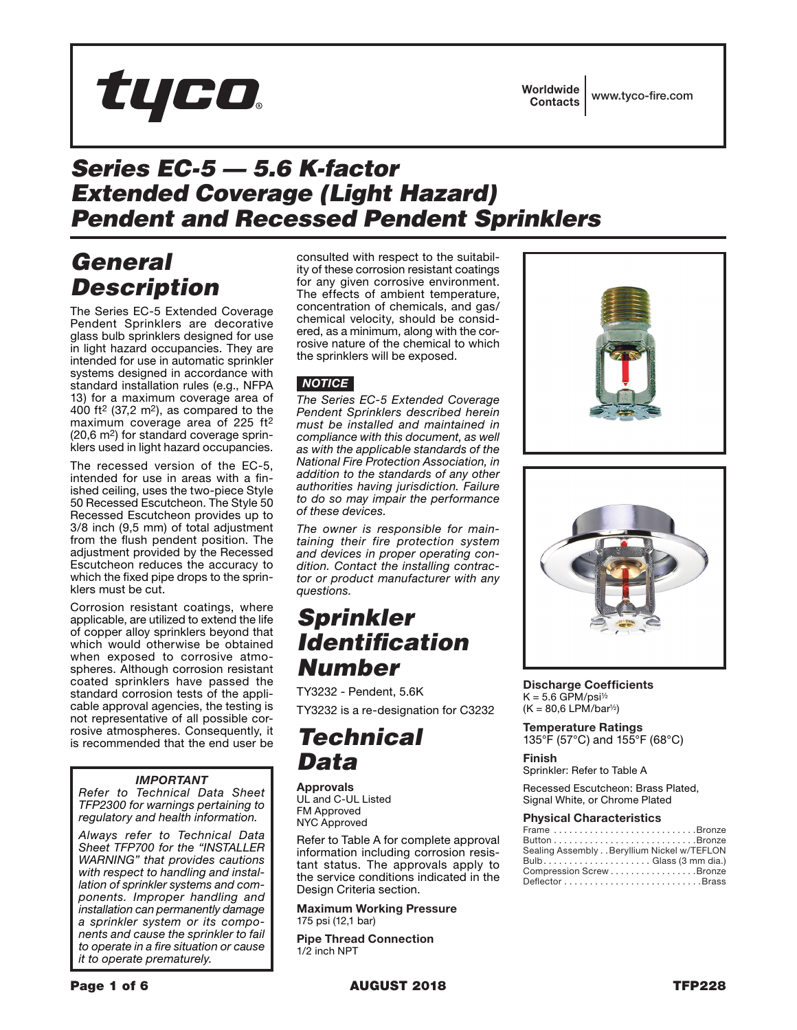

## *Series EC-5 — 5.6 K-factor Extended Coverage (Light Hazard) Pendent and Recessed Pendent Sprinklers*

## *General Description*

The Series EC-5 Extended Coverage Pendent Sprinklers are decorative glass bulb sprinklers designed for use in light hazard occupancies. They are intended for use in automatic sprinkler systems designed in accordance with standard installation rules (e.g., NFPA 13) for a maximum coverage area of 400 ft<sup>2</sup> (37,2 m<sup>2</sup>), as compared to the maximum coverage area of 225 ft2 (20,6 m2) for standard coverage sprinklers used in light hazard occupancies.

The recessed version of the EC-5, intended for use in areas with a finished ceiling, uses the two-piece Style 50 Recessed Escutcheon. The Style 50 Recessed Escutcheon provides up to 3/8 inch (9,5 mm) of total adjustment from the flush pendent position. The adjustment provided by the Recessed Escutcheon reduces the accuracy to which the fixed pipe drops to the sprinklers must be cut.

Corrosion resistant coatings, where applicable, are utilized to extend the life of copper alloy sprinklers beyond that which would otherwise be obtained when exposed to corrosive atmospheres. Although corrosion resistant coated sprinklers have passed the standard corrosion tests of the applicable approval agencies, the testing is not representative of all possible corrosive atmospheres. Consequently, it is recommended that the end user be

### *IMPORTANT*

*Refer to Technical Data Sheet TFP2300 for warnings pertaining to regulatory and health information.*

*Always refer to Technical Data Sheet TFP700 for the "INSTALLER WARNING" that provides cautions with respect to handling and installation of sprinkler systems and components. Improper handling and installation can permanently damage a sprinkler system or its components and cause the sprinkler to fail to operate in a fire situation or cause it to operate prematurely.*

consulted with respect to the suitability of these corrosion resistant coatings for any given corrosive environment. The effects of ambient temperature, concentration of chemicals, and gas/ chemical velocity, should be considered, as a minimum, along with the corrosive nature of the chemical to which the sprinklers will be exposed.

### *NOTICE*

*The Series EC-5 Extended Coverage Pendent Sprinklers described herein must be installed and maintained in compliance with this document, as well as with the applicable standards of the National Fire Protection Association, in addition to the standards of any other authorities having jurisdiction. Failure to do so may impair the performance of these devices.*

*The owner is responsible for maintaining their fire protection system and devices in proper operating condition. Contact the installing contractor or product manufacturer with any questions.*

### *Sprinkler Identification Number*

TY3232 - Pendent, 5.6K TY3232 is a re-designation for C3232

## *Technical Data*

**Approvals** UL and C-UL Listed FM Approved NYC Approved

Refer to Table A for complete approval information including corrosion resistant status. The approvals apply to the service conditions indicated in the Design Criteria section.

Maximum Working Pressure 175 psi (12,1 bar)

Pipe Thread Connection 1/2 inch NPT





Discharge Coefficients  $K = 5.6$  GPM/psi<sup>1/2</sup>  $(K = 80, 6$  LPM/bar<sup>1/2</sup>)

Temperature Ratings 135°F (57°C) and 155°F (68°C)

### Finish

Sprinkler: Refer to Table A

Recessed Escutcheon: Brass Plated, Signal White, or Chrome Plated

#### Physical Characteristics

| Frame Bronze                                                            |
|-------------------------------------------------------------------------|
| $Button \ldots \ldots \ldots \ldots \ldots \ldots \ldots \ldots \ldots$ |
| Sealing Assembly Beryllium Nickel w/TEFLON                              |
| Bulb Glass (3 mm dia.)                                                  |
| Compression Screw Bronze                                                |
|                                                                         |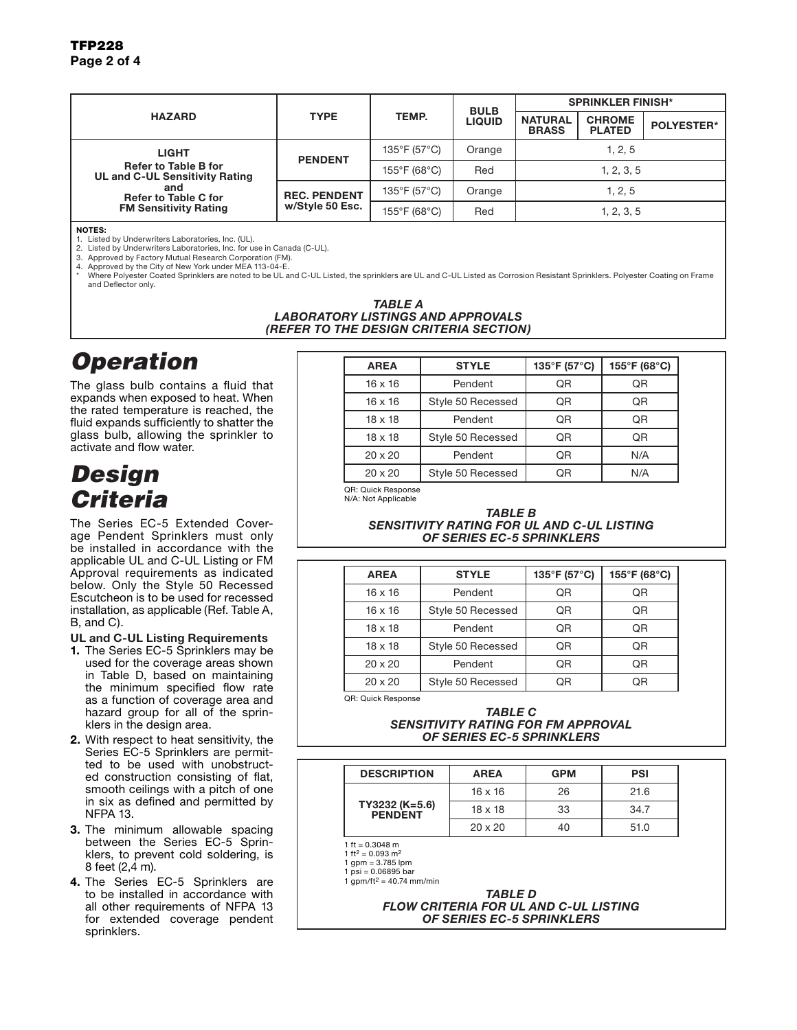### TFP<sub>228</sub> Page 2 of 4

| <b>HAZARD</b>                                                                                                                                | <b>TYPE</b>                            | TEMP.                             | <b>BULB</b><br><b>LIQUID</b> | <b>SPRINKLER FINISH*</b>       |                                |                   |
|----------------------------------------------------------------------------------------------------------------------------------------------|----------------------------------------|-----------------------------------|------------------------------|--------------------------------|--------------------------------|-------------------|
|                                                                                                                                              |                                        |                                   |                              | <b>NATURAL</b><br><b>BRASS</b> | <b>CHROME</b><br><b>PLATED</b> | <b>POLYESTER*</b> |
| LIGHT<br><b>Refer to Table B for</b><br>UL and C-UL Sensitivity Rating<br>and<br><b>Refer to Table C for</b><br><b>FM Sensitivity Rating</b> | <b>PENDENT</b>                         | 135°F (57°C)                      | Orange                       | 1, 2, 5                        |                                |                   |
|                                                                                                                                              |                                        | $155^{\circ}$ F (68 $^{\circ}$ C) | Red                          | 1, 2, 3, 5                     |                                |                   |
|                                                                                                                                              | <b>REC. PENDENT</b><br>w/Style 50 Esc. | 135°F (57°C)                      | Orange                       | 1, 2, 5                        |                                |                   |
|                                                                                                                                              |                                        | 155°F (68°C)                      | Red                          |                                | 1, 2, 3, 5                     |                   |

NOTES:

1. Listed by Underwriters Laboratories, Inc. (UL).

2. Listed by Underwriters Laboratories, Inc. for use in Canada (C-UL). 3. Approved by Factory Mutual Research Corporation (FM).

4. Approved by the City of New York under MEA 113-04-E.

Where Polyester Coated Sprinklers are noted to be UL and C-UL Listed, the sprinklers are UL and C-UL Listed as Corrosion Resistant Sprinklers. Polyester Coating on Frame and Deflector only.

#### *TABLE A LABORATORY LISTINGS AND APPROVALS (REFER TO THE DESIGN CRITERIA SECTION)*

# *Operation*

The glass bulb contains a fluid that expands when exposed to heat. When the rated temperature is reached, the fluid expands sufficiently to shatter the glass bulb, allowing the sprinkler to activate and flow water.

## *Design Criteria*

The Series EC-5 Extended Coverage Pendent Sprinklers must only be installed in accordance with the applicable UL and C-UL Listing or FM Approval requirements as indicated below. Only the Style 50 Recessed Escutcheon is to be used for recessed installation, as applicable (Ref. Table A, B, and C).

### UL and C-UL Listing Requirements

- 1. The Series EC-5 Sprinklers may be used for the coverage areas shown in Table D, based on maintaining the minimum specified flow rate as a function of coverage area and hazard group for all of the sprinklers in the design area.
- 2. With respect to heat sensitivity, the Series EC-5 Sprinklers are permitted to be used with unobstructed construction consisting of flat, smooth ceilings with a pitch of one in six as defined and permitted by NFPA 13.
- 3. The minimum allowable spacing between the Series EC-5 Sprinklers, to prevent cold soldering, is 8 feet (2,4 m).
- 4. The Series EC-5 Sprinklers are to be installed in accordance with all other requirements of NFPA 13 for extended coverage pendent sprinklers.

| <b>AREA</b>    | <b>STYLE</b>      | 135°F (57°C) | 155°F (68°C) |
|----------------|-------------------|--------------|--------------|
| $16 \times 16$ | Pendent           | QR           | QR           |
| $16 \times 16$ | Style 50 Recessed | QR           | QR           |
| $18 \times 18$ | Pendent           | QR           | QR           |
| $18 \times 18$ | Style 50 Recessed | QR           | QR           |
| $20 \times 20$ | Pendent           | QR           | N/A          |
| $20 \times 20$ | Style 50 Recessed | ΟR           | N/A          |

QR: Quick Response N/A: Not Applicable

#### *TABLE B SENSITIVITY RATING FOR UL AND C-UL LISTING OF SERIES EC-5 SPRINKLERS*

| <b>AREA</b>    | <b>STYLE</b>      | 135°F (57°C)   | 155°F (68°C) |
|----------------|-------------------|----------------|--------------|
| $16 \times 16$ | Pendent           | QR             | QR           |
| $16 \times 16$ | Style 50 Recessed | QR             | QR           |
| $18 \times 18$ | Pendent           | Q <sub>R</sub> | QR           |
| $18 \times 18$ | Style 50 Recessed | Q <sub>R</sub> | QR           |
| $20 \times 20$ | Pendent           | QR             | QR           |
| $20 \times 20$ | Style 50 Recessed | QR             | QR           |

QR: Quick Response

#### *TABLE C SENSITIVITY RATING FOR FM APPROVAL OF SERIES EC-5 SPRINKLERS*

| <b>DESCRIPTION</b>        | <b>AREA</b>    | <b>GPM</b> | <b>PSI</b> |
|---------------------------|----------------|------------|------------|
| TY3232 (K=5.6)<br>PENDENT | $16 \times 16$ | 26         | 21.6       |
|                           | $18 \times 18$ | 33         | 34.7       |
|                           | $20 \times 20$ |            | 51.0       |

1 ft =  $0.3048$  m  $1 ft<sup>2</sup> = 0.093 m<sup>2</sup>$ 

 $1 \text{ qpm} = 3.785 \text{ lpm}$ 

 $1 \text{ psi} = 0.06895 \text{ bar}$ 

1 gpm/ft<sup>2</sup> = 40.74 mm/min

*TABLE D FLOW CRITERIA FOR UL AND C-UL LISTING OF SERIES EC-5 SPRINKLERS*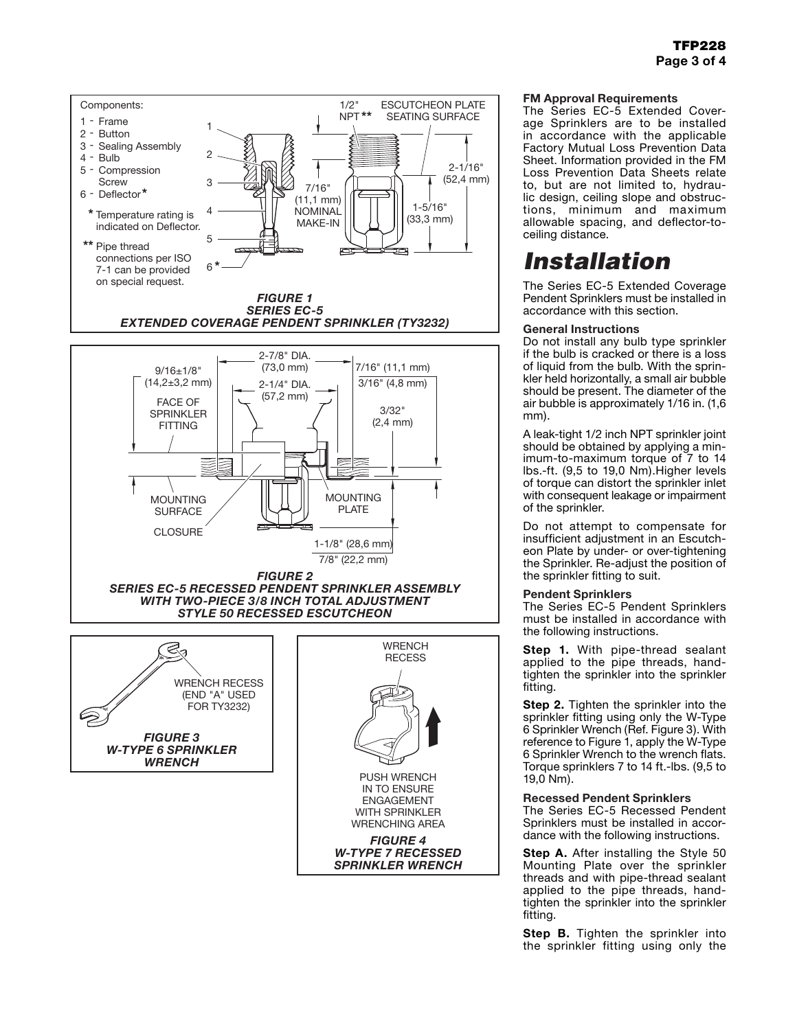

#### FM Approval Requirements

The Series EC-5 Extended Coverage Sprinklers are to be installed in accordance with the applicable Factory Mutual Loss Prevention Data Sheet. Information provided in the FM Loss Prevention Data Sheets relate to, but are not limited to, hydraulic design, ceiling slope and obstructions, minimum and maximum allowable spacing, and deflector-toceiling distance.

## *Installation*

The Series EC-5 Extended Coverage Pendent Sprinklers must be installed in accordance with this section.

#### General Instructions

Do not install any bulb type sprinkler if the bulb is cracked or there is a loss of liquid from the bulb. With the sprinkler held horizontally, a small air bubble should be present. The diameter of the air bubble is approximately 1/16 in. (1,6 mm).

A leak-tight 1/2 inch NPT sprinkler joint should be obtained by applying a minimum-to-maximum torque of 7 to 14 lbs.-ft. (9,5 to 19,0 Nm).Higher levels of torque can distort the sprinkler inlet with consequent leakage or impairment of the sprinkler.

Do not attempt to compensate for insufficient adjustment in an Escutcheon Plate by under- or over-tightening the Sprinkler. Re-adjust the position of the sprinkler fitting to suit.

#### Pendent Sprinklers

The Series EC-5 Pendent Sprinklers must be installed in accordance with the following instructions.

Step 1. With pipe-thread sealant applied to the pipe threads, handtighten the sprinkler into the sprinkler fitting.

**Step 2.** Tighten the sprinkler into the sprinkler fitting using only the W-Type 6 Sprinkler Wrench (Ref. Figure 3). With reference to Figure 1, apply the W-Type 6 Sprinkler Wrench to the wrench flats. Torque sprinklers 7 to 14 ft.-lbs. (9,5 to 19,0 Nm).

#### Recessed Pendent Sprinklers

The Series EC-5 Recessed Pendent Sprinklers must be installed in accordance with the following instructions.

Step A. After installing the Style 50 Mounting Plate over the sprinkler threads and with pipe-thread sealant applied to the pipe threads, handtighten the sprinkler into the sprinkler fitting.

**Step B.** Tighten the sprinkler into the sprinkler fitting using only the